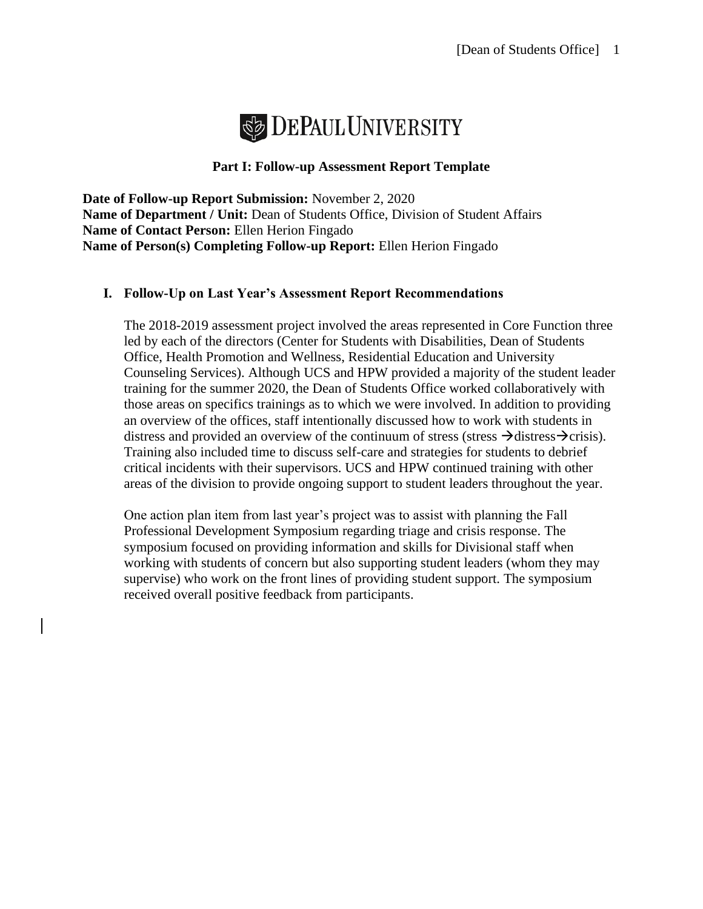

# **Part I: Follow-up Assessment Report Template**

**Date of Follow-up Report Submission:** November 2, 2020 **Name of Department / Unit:** Dean of Students Office, Division of Student Affairs **Name of Contact Person:** Ellen Herion Fingado **Name of Person(s) Completing Follow-up Report:** Ellen Herion Fingado

#### **I. Follow-Up on Last Year's Assessment Report Recommendations**

The 2018-2019 assessment project involved the areas represented in Core Function three led by each of the directors (Center for Students with Disabilities, Dean of Students Office, Health Promotion and Wellness, Residential Education and University Counseling Services). Although UCS and HPW provided a majority of the student leader training for the summer 2020, the Dean of Students Office worked collaboratively with those areas on specifics trainings as to which we were involved. In addition to providing an overview of the offices, staff intentionally discussed how to work with students in distress and provided an overview of the continuum of stress (stress  $\rightarrow$ distress $\rightarrow$ crisis). Training also included time to discuss self-care and strategies for students to debrief critical incidents with their supervisors. UCS and HPW continued training with other areas of the division to provide ongoing support to student leaders throughout the year.

One action plan item from last year's project was to assist with planning the Fall Professional Development Symposium regarding triage and crisis response. The symposium focused on providing information and skills for Divisional staff when working with students of concern but also supporting student leaders (whom they may supervise) who work on the front lines of providing student support. The symposium received overall positive feedback from participants.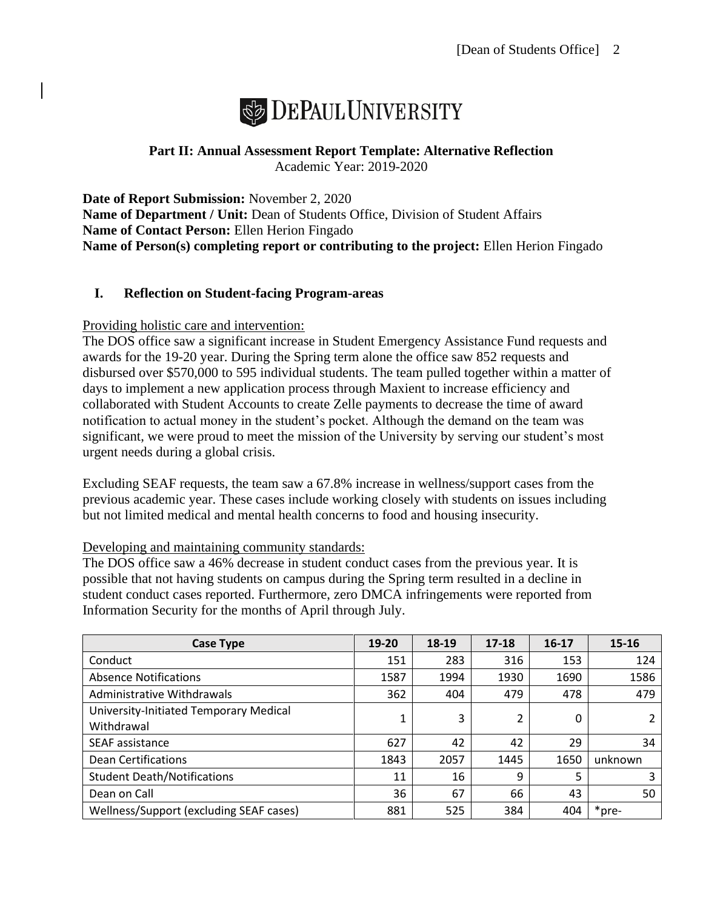

# **Part II: Annual Assessment Report Template: Alternative Reflection** Academic Year: 2019-2020

**Date of Report Submission:** November 2, 2020 **Name of Department / Unit:** Dean of Students Office, Division of Student Affairs **Name of Contact Person:** Ellen Herion Fingado **Name of Person(s) completing report or contributing to the project:** Ellen Herion Fingado

# **I. Reflection on Student-facing Program-areas**

# Providing holistic care and intervention:

The DOS office saw a significant increase in Student Emergency Assistance Fund requests and awards for the 19-20 year. During the Spring term alone the office saw 852 requests and disbursed over \$570,000 to 595 individual students. The team pulled together within a matter of days to implement a new application process through Maxient to increase efficiency and collaborated with Student Accounts to create Zelle payments to decrease the time of award notification to actual money in the student's pocket. Although the demand on the team was significant, we were proud to meet the mission of the University by serving our student's most urgent needs during a global crisis.

Excluding SEAF requests, the team saw a 67.8% increase in wellness/support cases from the previous academic year. These cases include working closely with students on issues including but not limited medical and mental health concerns to food and housing insecurity.

# Developing and maintaining community standards:

The DOS office saw a 46% decrease in student conduct cases from the previous year. It is possible that not having students on campus during the Spring term resulted in a decline in student conduct cases reported. Furthermore, zero DMCA infringements were reported from Information Security for the months of April through July.

| Case Type                                            | 19-20 | 18-19 | $17 - 18$ | $16 - 17$ | 15-16   |
|------------------------------------------------------|-------|-------|-----------|-----------|---------|
| Conduct                                              | 151   | 283   | 316       | 153       | 124     |
| <b>Absence Notifications</b>                         | 1587  | 1994  | 1930      | 1690      | 1586    |
| Administrative Withdrawals                           | 362   | 404   | 479       | 478       | 479     |
| University-Initiated Temporary Medical<br>Withdrawal |       | 3     | 2         | 0         |         |
| SEAF assistance                                      | 627   | 42    | 42        | 29        | 34      |
| Dean Certifications                                  | 1843  | 2057  | 1445      | 1650      | unknown |
| <b>Student Death/Notifications</b>                   | 11    | 16    | 9         | 5         | 3       |
| Dean on Call                                         | 36    | 67    | 66        | 43        | 50      |
| Wellness/Support (excluding SEAF cases)              | 881   | 525   | 384       | 404       | *pre-   |